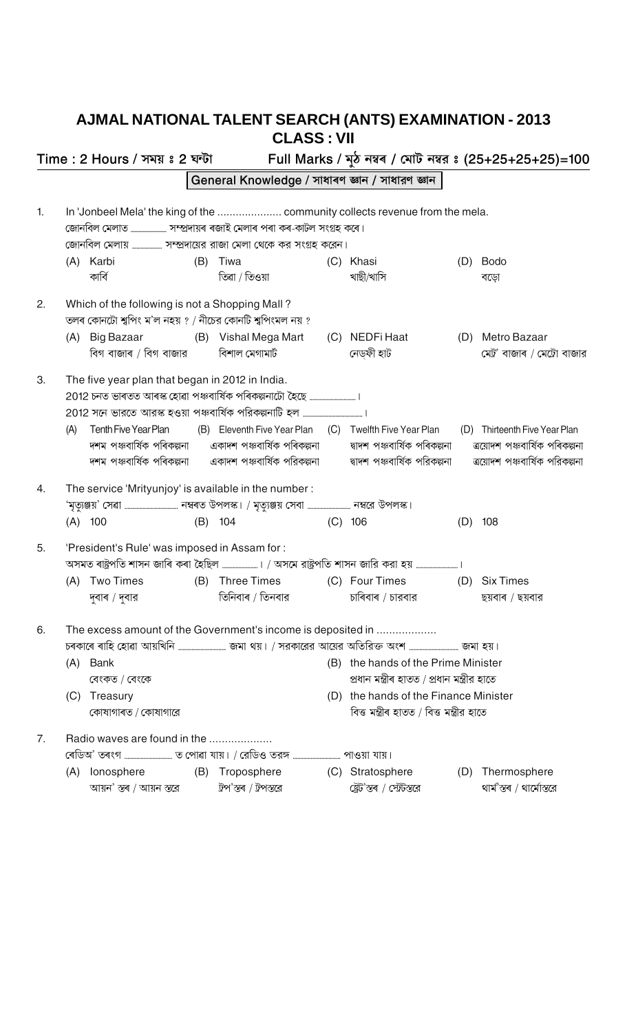## AJMAL NATIONAL TALENT SEARCH (ANTS) EXAMINATION - 2013 CLASS : VII

|    |     | Time : 2 Hours / সময় ঃ 2 ঘন্টা                                                                            |     |                                                                                            |     |                                                                                    |     | Full Marks / মুঠ নম্বৰ / মোট নম্বর ঃ (25+25+25+25)=100 |
|----|-----|------------------------------------------------------------------------------------------------------------|-----|--------------------------------------------------------------------------------------------|-----|------------------------------------------------------------------------------------|-----|--------------------------------------------------------|
|    |     |                                                                                                            |     | General Knowledge / সাধাৰণ জ্ঞান / সাধারণ জ্ঞান                                            |     |                                                                                    |     |                                                        |
| 1. |     |                                                                                                            |     | In 'Jonbeel Mela' the king of the  community collects revenue from the mela.               |     |                                                                                    |     |                                                        |
|    |     |                                                                                                            |     | জোনবিল মেলায়  সম্প্রদায়ের রাজা মেলা থেকে কর সংগ্রহ করেন।                                 |     |                                                                                    |     |                                                        |
|    |     | (A) Karbi<br>কাৰ্বি                                                                                        | (B) | Tiwa<br>তিৱা / তিওয়া                                                                      |     | (C) Khasi<br>খাছী/খাসি                                                             | (D) | Bodo<br>বড়ো                                           |
| 2. |     | Which of the following is not a Shopping Mall?<br>তলৰ কোনটো শ্বপিং ম'ল নহয় ? / নীচের কোনটি শ্বপিংমল নয় ? |     |                                                                                            |     |                                                                                    |     |                                                        |
|    |     | (A) Big Bazaar                                                                                             |     | (B) Vishal Mega Mart                                                                       |     | (C) NEDFi Haat<br>নেড়ফী হাট                                                       |     | (D) Metro Bazaar<br>মেট্র' বাজাৰ / মেট্রো বাজার        |
| 3. |     | The five year plan that began in 2012 in India.                                                            |     |                                                                                            |     |                                                                                    |     |                                                        |
|    | (A) | Tenth Five Year Plan                                                                                       |     | (B) Eleventh Five Year Plan (C) Twelfth Five Year Plan                                     |     |                                                                                    |     | (D) Thirteenth Five Year Plan                          |
| 4. |     | The service 'Mrityunjoy' is available in the number:                                                       |     | 'মৃত্যুঞ্জয়' সেৱা ……………………………… নম্বৰত উপলস্ক। / মৃত্যুঞ্জয় সেবা ……………………… নম্বরে উপলস্ক। |     |                                                                                    |     |                                                        |
|    |     | $(A)$ 100                                                                                                  |     | $(B)$ 104                                                                                  |     | $(C)$ 106                                                                          |     | $(D)$ 108                                              |
| 5. |     | 'President's Rule' was imposed in Assam for:                                                               |     | অসমত ৰাষ্ট্ৰপতি শাসন জাৰি কৰা হৈছিল …………………। / অসমে রাষ্ট্ৰপতি শাসন জারি করা হয় ……………………  |     |                                                                                    |     |                                                        |
|    |     | (A) Two Times                                                                                              |     | (B) Three Times (C) Four Times                                                             |     |                                                                                    |     | (D) Six Times                                          |
|    |     |                                                                                                            |     | দুবাৰ / দুবার                                   তিনিবাৰ / তিনবার                           |     | চাৰিবাৰ / চারবার                                                                   |     | ছয়বাৰ / ছয়বার                                        |
| 6. |     |                                                                                                            |     | The excess amount of the Government's income is deposited in                               |     |                                                                                    |     |                                                        |
|    | (A) | Bank<br>বেংকত / বেংকে                                                                                      |     |                                                                                            | (B) | the hands of the Prime Minister<br>প্ৰধান মন্ত্ৰীৰ হাতত / প্ৰধান মন্ত্ৰীর হাতে     |     |                                                        |
|    | (C) | Treasury<br>কোষাগাৰত / কোষাগারে                                                                            |     |                                                                                            |     | (D) the hands of the Finance Minister<br>বিত্ত মন্ত্ৰীৰ হাতত / বিত্ত মন্ত্ৰীর হাতে |     |                                                        |
| 7. |     | Radio waves are found in the                                                                               |     | ৰেডিঅ' তৰংগ …………………………… ত পোৱা যায়। / রেডিও তরঙ্গ …………………………… পাওয়া যায়।                |     |                                                                                    |     |                                                        |
|    |     | (A) lonosphere<br>আয়ন' স্তৰ / আয়ন স্তরে                                                                  |     | (B) Troposphere<br>ট্ৰপ'স্তৰ / ট্ৰপস্তরে                                                   |     | (C) Stratosphere<br>ষ্ট্ৰেট'স্তৰ / স্ট্ৰেটস্তরে                                    |     | (D) Thermosphere<br>থাৰ্ম'স্তৰ / থাৰ্মোস্তরে           |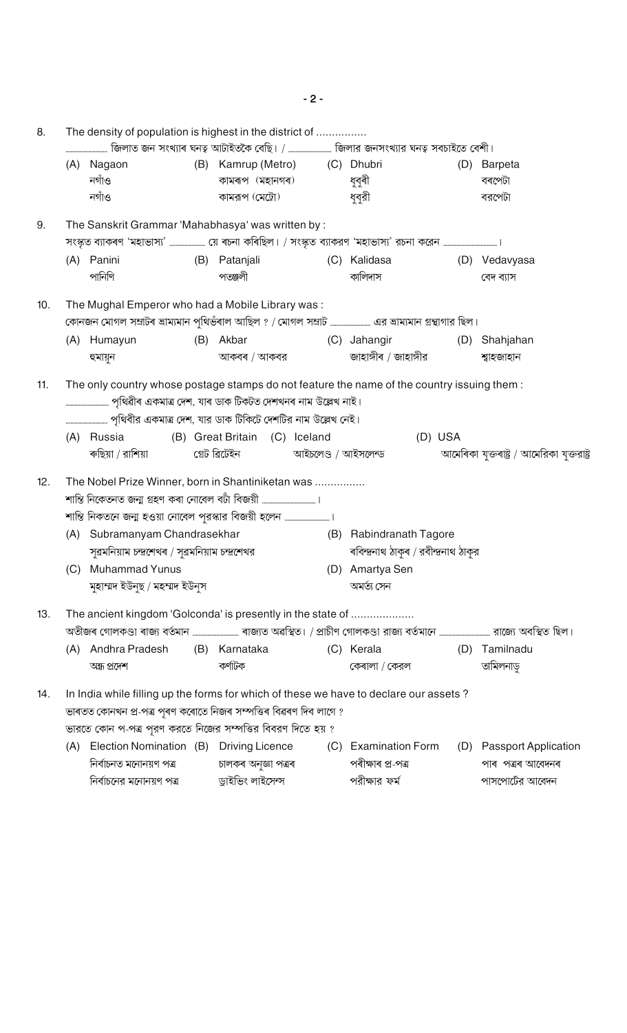| জিলাত জন সংখ্যাৰ ঘনত্ব আটাইতকৈ বেছি। /  জিলার জনসংখ্যার ঘনত্ব সবচাইতে বেশী। |                                                                 |     |                               |                     |                                                                                                           |     |                                                                                                                           |  |  |
|-----------------------------------------------------------------------------|-----------------------------------------------------------------|-----|-------------------------------|---------------------|-----------------------------------------------------------------------------------------------------------|-----|---------------------------------------------------------------------------------------------------------------------------|--|--|
|                                                                             | (A) Nagaon                                                      |     | (B) Kamrup (Metro) (C) Dhubri |                     |                                                                                                           | (D) | Barpeta                                                                                                                   |  |  |
|                                                                             | নগাঁও                                                           |     | কামৰূপ (মহানগৰ)               |                     | ধুবুৰী                                                                                                    |     | বৰপেটা                                                                                                                    |  |  |
|                                                                             | নগাঁও                                                           |     | কামরূপ (মেট্রো)               |                     | ধুবুরী                                                                                                    |     | বরপেটা                                                                                                                    |  |  |
|                                                                             | The Sanskrit Grammar 'Mahabhasya' was written by:               |     |                               |                     |                                                                                                           |     |                                                                                                                           |  |  |
|                                                                             |                                                                 |     |                               |                     | সংস্কৃত ব্যাকৰণ 'মহাভাস্য' …………………. য়ে ৰচনা কৰিছিল। / সংস্কৃত ব্যাকরণ 'মহাভাস্য' রচনা করেন …………………………….। |     |                                                                                                                           |  |  |
|                                                                             | (A) Panini                                                      |     | (B) Patanjali                 |                     | (C) Kalidasa                                                                                              |     | (D) Vedavyasa                                                                                                             |  |  |
|                                                                             | পানিণি                                                          |     | পতঞ্জলী                       |                     | কালিদাস                                                                                                   |     | বেদ ব্যাস                                                                                                                 |  |  |
|                                                                             | The Mughal Emperor who had a Mobile Library was:                |     |                               |                     |                                                                                                           |     |                                                                                                                           |  |  |
|                                                                             |                                                                 |     |                               |                     |                                                                                                           |     |                                                                                                                           |  |  |
|                                                                             | (A) Humayun                                                     |     | (B) Akbar                     |                     | (C) Jahangir                                                                                              |     | (D) Shahjahan                                                                                                             |  |  |
|                                                                             | হুমায়ুন                                                        |     | আকবৰ / আকবর                   |                     | জাহাঙ্গীৰ / জাহাঙ্গীর                                                                                     |     | শ্বাহজাহান                                                                                                                |  |  |
|                                                                             |                                                                 |     |                               |                     | The only country whose postage stamps do not feature the name of the country issuing them :               |     |                                                                                                                           |  |  |
|                                                                             | পৃথিৱীৰ একমাত্ৰ দেশ, যাৰ ডাক টিকটত দেশখনৰ নাম উল্লেখ নাই।       |     |                               |                     |                                                                                                           |     |                                                                                                                           |  |  |
|                                                                             |                                                                 |     |                               |                     |                                                                                                           |     |                                                                                                                           |  |  |
|                                                                             | (A) Russia                                                      |     | (B) Great Britain (C) Iceland |                     | (D) USA                                                                                                   |     |                                                                                                                           |  |  |
|                                                                             | ৰুছিয়া / রাশিয়া                                               |     | গ্ৰেট ৱিটেইন                  | আইচলেণ্ড / আইসলেন্ড |                                                                                                           |     | আমেৰিকা যুক্তৰাষ্ট্ৰ / আমেরিকা যুক্তরাষ্ট্র                                                                               |  |  |
|                                                                             | The Nobel Prize Winner, born in Shantiniketan was               |     |                               |                     |                                                                                                           |     |                                                                                                                           |  |  |
|                                                                             |                                                                 |     |                               |                     |                                                                                                           |     |                                                                                                                           |  |  |
|                                                                             |                                                                 |     |                               |                     |                                                                                                           |     |                                                                                                                           |  |  |
|                                                                             | (A) Subramanyam Chandrasekhar                                   |     |                               |                     |                                                                                                           |     |                                                                                                                           |  |  |
|                                                                             |                                                                 |     |                               |                     | (B) Rabindranath Tagore                                                                                   |     |                                                                                                                           |  |  |
|                                                                             | সুৱমনিয়াম চন্দ্ৰেখৰ / সুৱমনিয়াম চন্দ্ৰশেখর                    |     |                               |                     | ৰবিন্দ্ৰনাথ ঠাকুৰ / রবীন্দ্ৰনাথ ঠাকুর                                                                     |     |                                                                                                                           |  |  |
|                                                                             | (C) Muhammad Yunus                                              |     |                               |                     | (D) Amartya Sen                                                                                           |     |                                                                                                                           |  |  |
|                                                                             | মুহাম্মদ ইউনুছ / মহম্মদ ইউনুস                                   |     |                               |                     | অমৰ্ত্য সেন                                                                                               |     |                                                                                                                           |  |  |
|                                                                             | The ancient kingdom 'Golconda' is presently in the state of     |     |                               |                     |                                                                                                           |     |                                                                                                                           |  |  |
|                                                                             |                                                                 |     |                               |                     |                                                                                                           |     | অতীজৰ গোলকণ্ডা ৰাজ্য বৰ্তমান ………………………… ৰাজ্যত অৱস্থিত। / প্ৰাচীণ গোলকণ্ডা রাজ্য বৰ্তমানে …………………………… রাজ্যে অবস্থিত ছিল। |  |  |
| (A)                                                                         | Andhra Pradesh                                                  | (B) | Karnataka                     |                     | (C) Kerala                                                                                                | (D) | Tamilnadu                                                                                                                 |  |  |
|                                                                             | অন্ধ্ৰ প্ৰদেশ                                                   |     | কর্ণাটক                       |                     | কেৰালা / কেরল                                                                                             |     | তামিলনাডু                                                                                                                 |  |  |
|                                                                             |                                                                 |     |                               |                     | In India while filling up the forms for which of these we have to declare our assets?                     |     |                                                                                                                           |  |  |
|                                                                             | ভাৰতত কোনখন প্ৰ-পত্ৰ পূৰণ কৰোতে নিজৰ সম্পত্তিৰ বিৱৰণ দিব লাগে ? |     |                               |                     |                                                                                                           |     |                                                                                                                           |  |  |
|                                                                             | ভারতে কোন প-পত্র পূরণ করতে নিজের সম্পত্তির বিবরণ দিতে হয় ?     |     |                               |                     |                                                                                                           |     |                                                                                                                           |  |  |
| (A)                                                                         | Election Nomination (B) Driving Licence                         |     |                               | (C)                 | <b>Examination Form</b>                                                                                   |     | (D) Passport Application                                                                                                  |  |  |
|                                                                             | নিৰ্বাচনত মনোনয়ণ পত্ৰ                                          |     | চালকৰ অনুজ্ঞা পত্ৰৰ           |                     | পৰীক্ষাৰ প্ৰ-পত্ৰ                                                                                         |     | পাৰ  পত্ৰৰ আবেদনৰ                                                                                                         |  |  |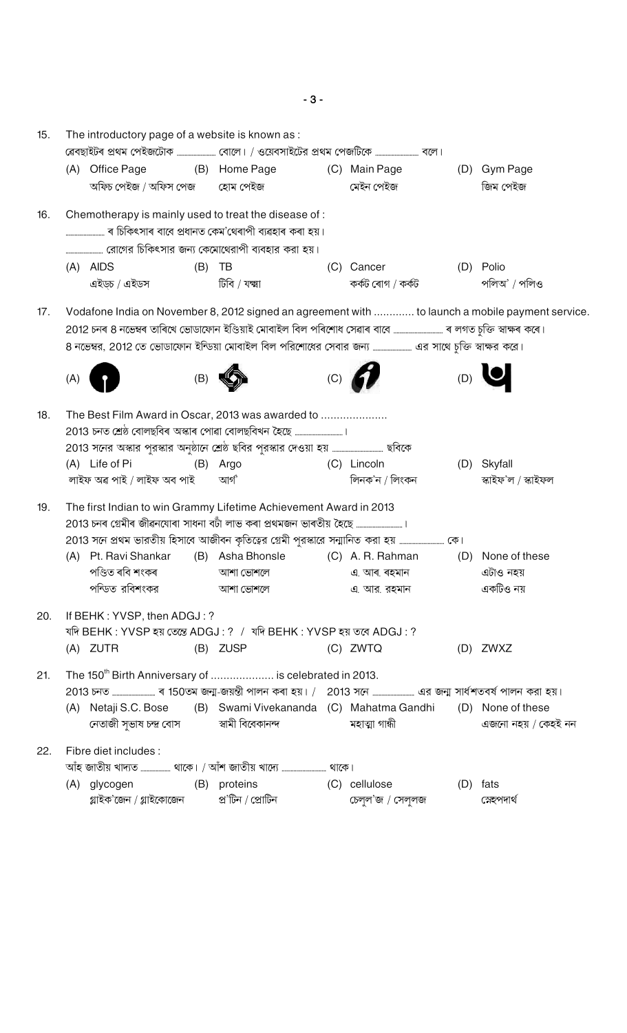| 15. | The introductory page of a website is known as : |                                          |     |                                                                                |     |                   |     |                                                                                                  |  |  |  |
|-----|--------------------------------------------------|------------------------------------------|-----|--------------------------------------------------------------------------------|-----|-------------------|-----|--------------------------------------------------------------------------------------------------|--|--|--|
|     |                                                  |                                          |     |                                                                                |     |                   |     |                                                                                                  |  |  |  |
|     |                                                  | (A) Office Page (B) Home Page            |     |                                                                                |     | (C) Main Page     |     | (D) Gym Page                                                                                     |  |  |  |
|     |                                                  | অফিচ পেইজ / অফিস পেজ        হোম পেইজ     |     |                                                                                |     | মেইন পেইজ         |     | জিম পেইজ                                                                                         |  |  |  |
| 16. |                                                  |                                          |     | Chemotherapy is mainly used to treat the disease of:                           |     |                   |     |                                                                                                  |  |  |  |
|     |                                                  |                                          |     |                                                                                |     |                   |     |                                                                                                  |  |  |  |
|     |                                                  | $(A)$ AIDS                               | (B) | TB                                                                             |     | (C) Cancer        |     | (D) Polio                                                                                        |  |  |  |
|     |                                                  | এইড়চ / এইডস                             |     | টিবি / যক্ষা                                                                   |     | কৰ্কট ৰোগ / কৰ্কট |     | পলিঅ' / পলিও                                                                                     |  |  |  |
| 17. |                                                  |                                          |     |                                                                                |     |                   |     | Vodafone India on November 8, 2012 signed an agreement with  to launch a mobile payment service. |  |  |  |
|     |                                                  |                                          |     |                                                                                |     |                   |     |                                                                                                  |  |  |  |
|     |                                                  |                                          |     |                                                                                |     |                   |     |                                                                                                  |  |  |  |
|     | (A)                                              |                                          | (B) |                                                                                | (C) |                   | (D) |                                                                                                  |  |  |  |
| 18. |                                                  |                                          |     | The Best Film Award in Oscar, 2013 was awarded to                              |     |                   |     |                                                                                                  |  |  |  |
|     |                                                  | (A) Life of Pi                           |     | (B) Argo                                                                       |     | (C) Lincoln       |     | (D) Skyfall                                                                                      |  |  |  |
|     |                                                  | লাইফ অৱ পাই / লাইফ অব পাই                |     | আৰ্গ                                                                           |     | লিনক'ন / লিংকন    |     | স্কাইফ'ল / স্কাইফল                                                                               |  |  |  |
| 19. |                                                  |                                          |     | The first Indian to win Grammy Lifetime Achievement Award in 2013              |     |                   |     |                                                                                                  |  |  |  |
|     |                                                  |                                          |     | 2013 চনৰ গ্ৰেমীৰ জীৱনযোৰা সাধনা বটাঁ লাভ কৰা প্ৰথমজন ভাৰতীয় হৈছে ……………………………। |     |                   |     |                                                                                                  |  |  |  |
|     |                                                  |                                          |     |                                                                                |     |                   |     |                                                                                                  |  |  |  |
|     |                                                  | (A) Pt. Ravi Shankar                     |     | (B) Asha Bhonsle (C) A. R. Rahman                                              |     |                   | (D) | None of these                                                                                    |  |  |  |
|     |                                                  | পণ্ডিত ৰবি শংকৰ                          |     | আশা ভোশলে                                                                      |     | এ. আৰ. ৰহমান      |     | এটাও নহয়                                                                                        |  |  |  |
|     |                                                  | পন্ডিত রবিশংকর                           |     | আশা ভোশলে                                                                      |     | এ আর রহমান        |     | একটিও নয়                                                                                        |  |  |  |
| 20. |                                                  | If BEHK: YVSP, then ADGJ: ?              |     |                                                                                |     |                   |     |                                                                                                  |  |  |  |
|     |                                                  |                                          |     | যদি BEHK: YVSP হয় তেন্তে ADGJ: ? / যদি BEHK: YVSP হয় তবে ADGJ: ?             |     |                   |     |                                                                                                  |  |  |  |
|     |                                                  | (A) ZUTR                                 |     | (B) ZUSP                                                                       |     | (C) ZWTQ          |     | (D) ZWXZ                                                                                         |  |  |  |
| 21. |                                                  |                                          |     | The 150 <sup>th</sup> Birth Anniversary of  is celebrated in 2013.             |     |                   |     |                                                                                                  |  |  |  |
|     |                                                  | (A) Netaji S.C. Bose                     |     | (B) Swami Vivekananda (C) Mahatma Gandhi                                       |     |                   |     | (D) None of these                                                                                |  |  |  |
|     |                                                  | নেতাজী সভাষ চন্দ্ৰ বোস স্বামী বিবেকানন্দ |     |                                                                                |     | মহাত্মা গান্ধী    |     | এজনো নহয় / কেহই নন                                                                              |  |  |  |
| 22. |                                                  | Fibre diet includes :                    |     |                                                                                |     |                   |     |                                                                                                  |  |  |  |
|     |                                                  |                                          |     | আঁহ জাতীয় খাদ্যত  থাকে। / আঁশ জাতীয় খাদ্যে  থাকে।                            |     |                   |     |                                                                                                  |  |  |  |
|     |                                                  | (A) glycogen                             |     | (B) proteins                                                                   |     | (C) cellulose     | (D) | fats                                                                                             |  |  |  |
|     |                                                  | গ্লাইক'জেন / গ্লাইকোজেন                  |     | প্ৰ'টিন / প্ৰোটিন                                                              |     | চেলুল'জ / সেলুলজ  |     | স্লেহপদার্থ                                                                                      |  |  |  |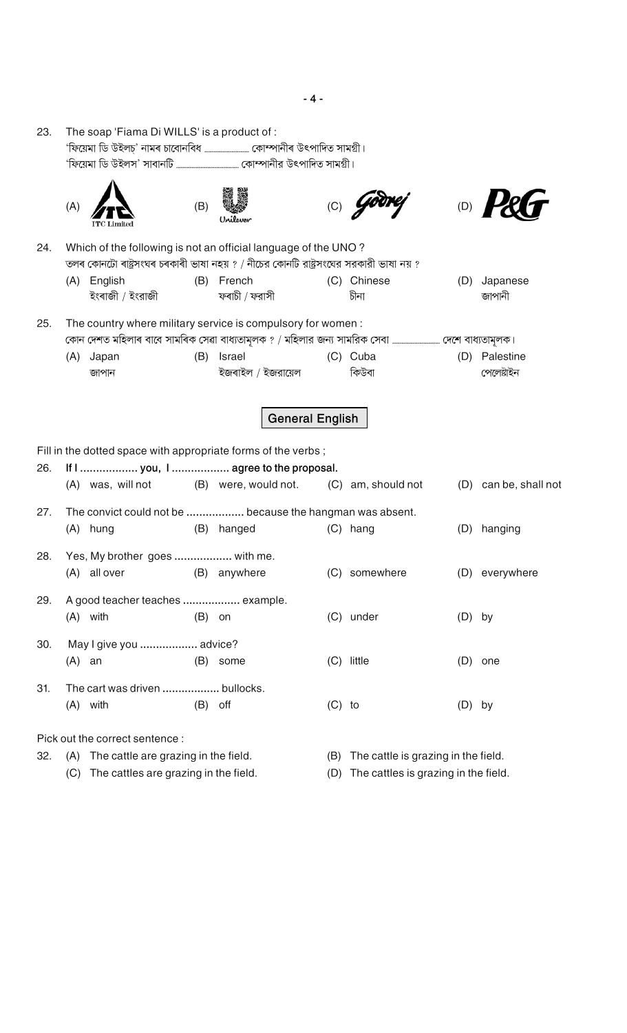| 23. |     | The soap 'Fiama Di WILLS' is a product of :                                 |           |                                                                                                                                                         |          |                                     |          |                         |
|-----|-----|-----------------------------------------------------------------------------|-----------|---------------------------------------------------------------------------------------------------------------------------------------------------------|----------|-------------------------------------|----------|-------------------------|
|     |     |                                                                             |           |                                                                                                                                                         |          |                                     |          |                         |
|     | (A) |                                                                             | (B)       |                                                                                                                                                         |          |                                     | (D)      |                         |
| 24. |     |                                                                             |           | Which of the following is not an official language of the UNO?<br>তলৰ কোনটো ৰাষ্ট্ৰসংঘৰ চৰকাৰী ভাষা নহয় ? / নীচের কোনটি রাষ্ট্ৰসংঘের সরকারী ভাষা নয় ? |          |                                     |          |                         |
|     | (A) | English<br>ইংৰাজী / ইংরাজী                                                  |           | (B) French<br>ফৰাচী / ফরাসী                                                                                                                             |          | (C) Chinese<br>চীনা                 | (D)      | Japanese<br>জাপানী      |
| 25. |     |                                                                             |           | The country where military service is compulsory for women:                                                                                             |          |                                     |          |                         |
|     | (A) | Japan<br>জাপান                                                              | (B)       | Israel<br>ইজৰাইল / ইজরায়েল                                                                                                                             |          | (C) Cuba<br>কিউবা                   | (D)      | Palestine<br>পেলেষ্টাইন |
|     |     |                                                                             |           | <b>General English</b>                                                                                                                                  |          |                                     |          |                         |
| 26. |     |                                                                             |           | Fill in the dotted space with appropriate forms of the verbs;<br>If I  you, I  agree to the proposal.                                                   |          |                                     |          |                         |
|     |     | (A) was, will not                                                           |           | (B) were, would not.                                                                                                                                    |          | (C) am, should not                  |          | (D) can be, shall not   |
| 27. |     | (A) hung                                                                    | (B)       | The convict could not be  because the hangman was absent.<br>hanged                                                                                     |          | (C) hang                            | (D)      | hanging                 |
| 28. |     | Yes, My brother goes  with me.<br>(A) all over                              |           | (B) anywhere                                                                                                                                            |          | (C) somewhere                       |          | (D) everywhere          |
| 29. |     | A good teacher teaches  example.<br>$(A)$ with                              | $(B)$ on  |                                                                                                                                                         |          | (C) under                           | $(D)$ by |                         |
| 30. |     | May I give you  advice?<br>$(A)$ an                                         |           | (B) some                                                                                                                                                |          | (C) little                          |          | $(D)$ one               |
| 31. |     | The cart was driven  bullocks.<br>$(A)$ with                                | $(B)$ off |                                                                                                                                                         | $(C)$ to |                                     | $(D)$ by |                         |
| 32. |     | Pick out the correct sentence :<br>(A) The cattle are grazing in the field. |           |                                                                                                                                                         | (B)      | The cattle is grazing in the field. |          |                         |

- (A) The cattle are grazing in the field. (C) The cattles are grazing in the field.
- (B) The cattle is grazing in the field.
- (D) The cattles is grazing in the field.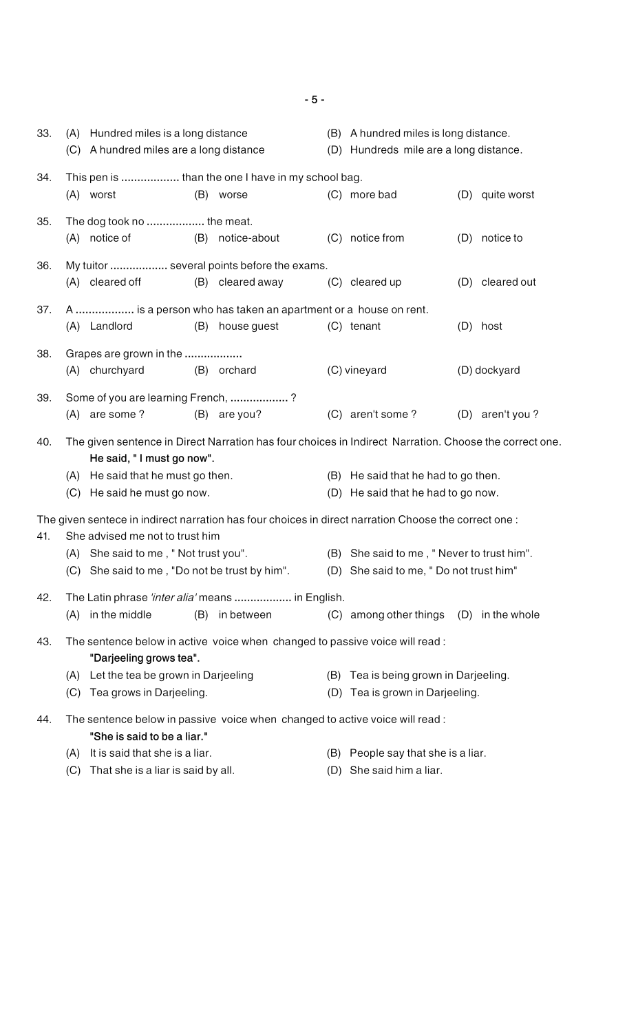33. (A) Hundred miles is a long distance (B) A hundred miles is long distance. (C) A hundred miles are a long distance (D) Hundreds mile are a long distance. 34. This pen is **..................** than the one I have in my school bag. (A) worst (B) worse (C) more bad (D) quite worst 35. The dog took no **..................** the meat. (A) notice of (B) notice-about (C) notice from (D) notice to 36. My tuitor **..................** several points before the exams. (A) cleared off (B) cleared away (C) cleared up (D) cleared out 37. A **..................** is a person who has taken an apartment or a house on rent. (A) Landlord (B) house guest (C) tenant (D) host 38. Grapes are grown in the **..................** (A) churchyard (B) orchard (C) vineyard (D) dockyard 39. Some of you are learning French, **..................** ? (A) are some ? (B) are you? (C) aren't some ? (D) aren't you ? 40. The given sentence in Direct Narration has four choices in Indirect Narration. Choose the correct one. **He said, " I must go now".** (A) He said that he must go then. (B) He said that he had to go then. (C) He said he must go now. (D) He said that he had to go now. The given sentece in indirect narration has four choices in direct narration Choose the correct one : 41. She advised me not to trust him (A) She said to me , " Not trust you". (B) She said to me , " Never to trust him". (C) She said to me , "Do not be trust by him". (D) She said to me, " Do not trust him" 42. The Latin phrase *'inter alia'* means **..................** in English. (A) in the middle (B) in between (C) among other things (D) in the whole 43. The sentence below in active voice when changed to passive voice will read : **"Darjeeling grows tea".** (A) Let the tea be grown in Darjeeling (B) Tea is being grown in Darjeeling. (C) Tea grows in Darjeeling. (D) Tea is grown in Darjeeling. 44. The sentence below in passive voice when changed to active voice will read : **"She is said to be a liar."** (A) It is said that she is a liar. (B) People say that she is a liar. (C) That she is a liar is said by all. (D) She said him a liar.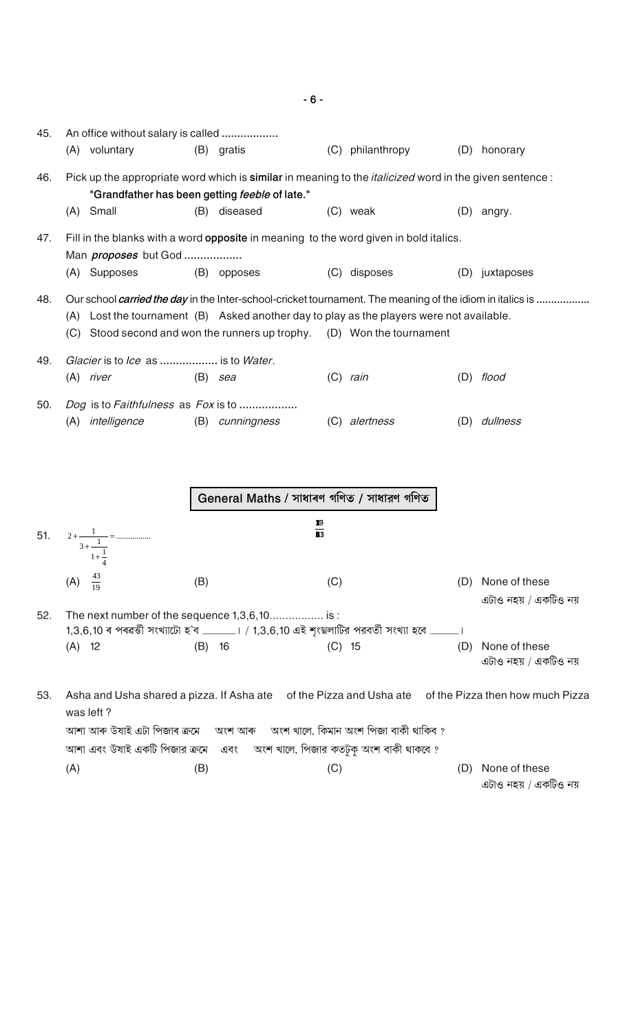| 45. | An office without salary is called<br>(A) voluntary        | (B) gratis                                                                                                                                                                                                                                                                         | (C) philanthropy                              |     | (D) honorary                           |
|-----|------------------------------------------------------------|------------------------------------------------------------------------------------------------------------------------------------------------------------------------------------------------------------------------------------------------------------------------------------|-----------------------------------------------|-----|----------------------------------------|
| 46. |                                                            | Pick up the appropriate word which is similar in meaning to the <i>italicized</i> word in the given sentence :                                                                                                                                                                     |                                               |     |                                        |
|     | Small<br>(A)                                               | "Grandfather has been getting feeble of late."<br>diseased<br>(B)                                                                                                                                                                                                                  | (C) weak                                      |     | $(D)$ angry.                           |
| 47. | Man <i>proposes</i> but God                                | Fill in the blanks with a word opposite in meaning to the word given in bold italics.                                                                                                                                                                                              |                                               |     |                                        |
|     | (A) Supposes                                               | (B) opposes                                                                                                                                                                                                                                                                        | (C) disposes                                  |     | (D) juxtaposes                         |
| 48. | (A)                                                        | Our school <i>carried the day</i> in the Inter-school-cricket tournament. The meaning of the idiom in italics is<br>Lost the tournament (B) Asked another day to play as the players were not available.<br>(C) Stood second and won the runners up trophy. (D) Won the tournament |                                               |     |                                        |
| 49. | Glacier is to Ice as  is to Water.                         |                                                                                                                                                                                                                                                                                    |                                               |     |                                        |
|     | $(A)$ river                                                | (B)<br>sea                                                                                                                                                                                                                                                                         | $(C)$ rain                                    |     | $(D)$ flood                            |
| 50. | Dog is to Faithfulness as Fox is to<br>intelligence<br>(A) | (B)<br>cunningness                                                                                                                                                                                                                                                                 | (C) alertness                                 | (D) | dullness                               |
|     |                                                            | General Maths / সাধাৰণ গণিত / সাধারণ গণিত                                                                                                                                                                                                                                          |                                               |     |                                        |
| 51. | $2 + \frac{1}{3 + \frac{1}{1 + \frac{1}{4}}} = \dots$      | $\frac{10}{2}$<br>$\overline{\mathbf{33}}$                                                                                                                                                                                                                                         |                                               |     |                                        |
|     | $\frac{43}{19}$<br>(A)                                     | (B)                                                                                                                                                                                                                                                                                | (C)                                           | (D) | None of these<br>এটাও নহয় / একটিও নয় |
| 52. |                                                            | The next number of the sequence 1,3,6,10 is:                                                                                                                                                                                                                                       |                                               |     |                                        |
|     | $(A)$ 12                                                   | $(B)$ 16                                                                                                                                                                                                                                                                           | $(C)$ 15                                      | (D) | None of these<br>এটাও নহয় / একটিও নয় |
| 53. | was left?                                                  | Asha and Usha shared a pizza. If Asha ate of the Pizza and Usha ate of the Pizza then how much Pizza                                                                                                                                                                               |                                               |     |                                        |
|     | আশা আৰু উষাই এটা পিজাৰ ক্ৰমে                               |                                                                                                                                                                                                                                                                                    | অংশ আৰু অংশ খালে, কিমান অংশ পিজা বাকী থাকিব ? |     |                                        |
|     |                                                            |                                                                                                                                                                                                                                                                                    |                                               |     |                                        |
|     | (A)                                                        | আশা এবং উষাই একটি পিজার ক্রমে এবং অংশ খালে, পিজার কতটুকু অংশ বাকী থাকবে ?<br>(B)                                                                                                                                                                                                   | (C)                                           | (D) | None of these                          |

 $-6-$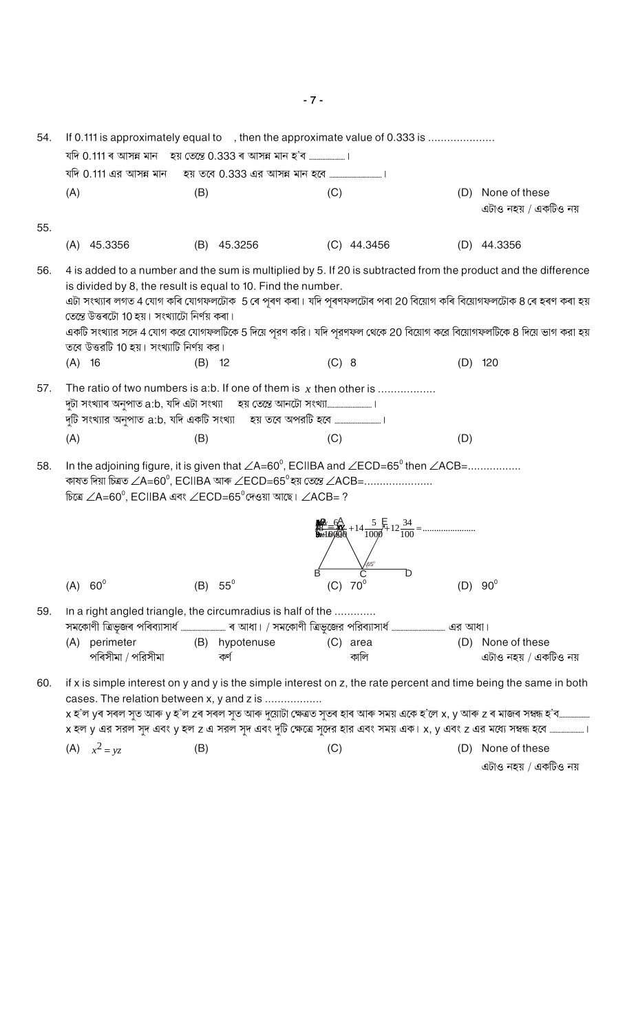If 0.111 is approximately equal to, then the approximate value of 0.333 is ........................ 54. যদি 0.111 এর আসন্ন মান হয় তবে 0.333 এর আসন্ন মান হবে .......  $(A)$  $(B)$  $(C)$ (D) None of these এটাও নহয় / একটিও নয় 55.  $(A)$  45.3356 (B) 45.3256  $(C)$  44.3456  $(D)$  44.3356 56. 4 is added to a number and the sum is multiplied by 5. If 20 is subtracted from the product and the difference is divided by 8, the result is equal to 10. Find the number. এটা সংখ্যাৰ লগত 4 যোগ কৰি যোগফলটোক 5 ৰে পৰণ কৰা। যদি পৰণফলটোৰ পৰা 20 বিয়োগ কৰি বিয়োগফলটোক 8 ৰে হৰণ কৰা হয় তেন্তে উত্তৰটো 10 হয়। সংখ্যাটো নিৰ্ণয় কৰা। একটি সংখ্যার সঙ্গে 4 যোগ করে যোগফলটিকে 5 দিয়ে পুরণ করি। যদি পুরণফল থেকে 20 বিয়োগ করে বিয়োগফলটিকে 8 দিয়ে ভাগ করা হয় তবে উত্তরটি 10 হয়। সংখ্যাটি নির্ণয় কর।  $(A)$  16  $(B)$  12  $(C) 8$  $(D)$  120 57. The ratio of two numbers is a:b. If one of them is  $x$  then other is .................  $(A)$  $(B)$  $(C)$  $(D)$ In the adjoining figure, it is given that  $\angle A=60^\circ$ , ECIIBA and  $\angle ECD=65^\circ$  then  $\angle ACB=$ ................. 58. কাষত দিয়া চিত্ৰত  $\angle A = 60^{\circ}$ , ECIIBA আৰু  $\angle ECD = 65^{\circ}$ হয় তেন্তে  $\angle ACB =$ ...................... চিত্রে  $\angle$ A=60 $^{\circ}$ , ECIIBA এবং  $\angle$ ECD=65 $^{\circ}$ দেওয়া আছে।  $\angle$ ACB= ? Ď  $(A) 60^{\circ}$ (B)  $55^{\circ}$  $(C) 70^{\circ}$  $(D) 90^{\circ}$ 59. In a right angled triangle, the circumradius is half of the ............. (A) perimeter (B) hypotenuse (C) area (D) None of these পৰিসীমা / পরিসীমা কৰ্ণ কালি এটাও নহয় / একটিও নয় if x is simple interest on y and y is the simple interest on z, the rate percent and time being the same in both 60. cases. The relation between x, y and z is .................. x হ'ল yৰ সৰল সুত আৰু y হ'ল zৰ সৰল সুত আৰু দুয়োটা ক্ষেত্ৰত সুতৰ হাৰ আৰু সময় একে হ'লে x, y আৰু z ৰ মাজৰ সম্বন্ধ হ'ব…… x হল y এর সরল সৃদ এবং y হল z এ সরল সৃদ এবং দুটি ক্ষেত্রে সূদের হার এবং সময় এক। x, y এবং z এর মধ্যে সম্বন্ধ হবে ……

 $(C)$ 

(A)  $x^2 = yz$  $(B)$ 

এটাও নহয় / একটিও নয়

(D) None of these

 $-7 -$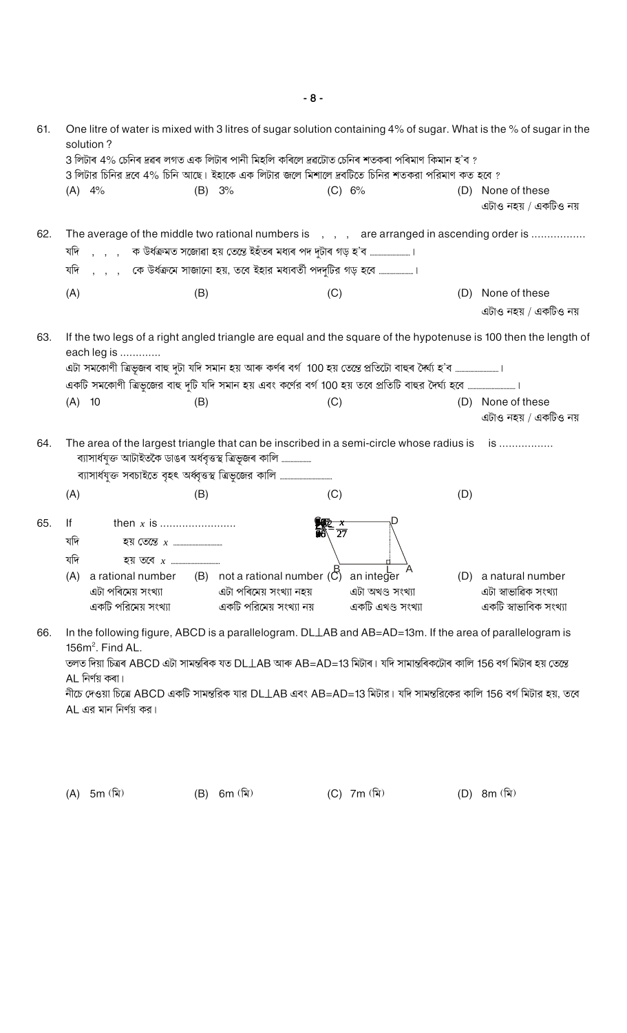$-8-$ 

| 61. | solution?               |     | One litre of water is mixed with 3 litres of sugar solution containing 4% of sugar. What is the % of sugar in the<br>3 লিটাৰ 4% চেনিৰ দ্ৰৱৰ লগত এক লিটাৰ পানী মিহলি কৰিলে দ্ৰৱটোত চেনিৰ শতকৰা পৰিমাণ কিমান হ'ব ?<br>3 লিটার চিনির দ্রবে 4% চিনি আছে। ইহাকে এক লিটার জলে মিশালে দ্রবটিতে চিনির শতকরা পরিমাণ কত হবে ? |                   |     |                                        |
|-----|-------------------------|-----|---------------------------------------------------------------------------------------------------------------------------------------------------------------------------------------------------------------------------------------------------------------------------------------------------------------------|-------------------|-----|----------------------------------------|
|     | $(A)$ 4%                | (B) | 3%                                                                                                                                                                                                                                                                                                                  | (C) 6%            | (D) | None of these<br>এটাও নহয় / একটিও নয় |
| 62. |                         |     | The average of the middle two rational numbers is , , , are arranged in ascending order is<br>যদি , , , ক উৰ্ধক্ৰমত সজোৱা হয় তেন্তে ইহঁতৰ মধ্যৰ পদ দুটাৰ গড় হ'ব …………………………।<br>যদি , , , কে উর্ধক্রমে সাজানো হয়, তবে ইহার মধ্যবর্তী পদদুটির গড় হবে ।                                                            |                   |     |                                        |
|     | (A)                     | (B) | (C)                                                                                                                                                                                                                                                                                                                 |                   | (D) | None of these                          |
|     |                         |     |                                                                                                                                                                                                                                                                                                                     |                   |     | এটাও নহয় / একটিও নয়                  |
| 63. | each leg is<br>$(A)$ 10 | (B) | If the two legs of a right angled triangle are equal and the square of the hypotenuse is 100 then the length of<br>এটা সমকোণী ত্ৰিভূজৰ বাহু দুটা যদি সমান হয় আৰু কৰ্ণৰ বৰ্গ 100 হয় তেন্তে প্ৰতিটো বাহুৰ দৈৰ্ঘ্য হ'ব …………………………।<br>(C)                                                                            |                   |     | (D) None of these                      |
|     |                         |     |                                                                                                                                                                                                                                                                                                                     |                   |     | এটাও নহয় / একটিও নয়                  |
| 64. |                         |     | The area of the largest triangle that can be inscribed in a semi-circle whose radius is is<br>ব্যাসাৰ্ধযুক্ত আটাইতকৈ ডাঙৰ অৰ্ধবৃত্তস্থ ত্ৰিভূজৰ কালি                                                                                                                                                                |                   |     |                                        |
|     | (A)                     | (B) | (C)                                                                                                                                                                                                                                                                                                                 |                   | (D) |                                        |
| 65. | lf<br>যদি<br>যদি        |     | (A) a rational number (B) not a rational number $\overline{C}$ ) an integer                                                                                                                                                                                                                                         | $rac{x}{27}$      |     | (D) a natural number                   |
|     | এটা পৰিমেয় সংখ্যা      |     | এটা পৰিমেয় সংখ্যা নহয়                                                                                                                                                                                                                                                                                             | এটা অখণ্ড সংখ্যা  |     | এটা স্বাভাৱিক সংখ্যা                   |
|     | একটি পরিমেয় সংখ্যা     |     | একটি পরিমেয় সংখ্যা নয়                                                                                                                                                                                                                                                                                             | একটি এখণ্ড সংখ্যা |     | একটি স্বাভাবিক সংখ্যা                  |
| 66. | $156m^2$ . Find AL.     |     | In the following figure, ABCD is a parallelogram. DLLAB and AB=AD=13m. If the area of parallelogram is<br>$\pi$ s finition ADCD of sister $\pi$ s DL LAD with AD AD 10 fifts using sister sing 150 and 150 and fifts an open                                                                                        |                   |     |                                        |

তলত দিয়া চিত্ৰৰ ABCD এটা সামন্তৰিক যত DL⊥AB আৰু AB=AD=13 মিটাৰ। যদি সামান্তৰিকটোৰ কালি 156 বৰ্গ মিটাৰ হয় তেন্তে AL নিৰ্ণয় কৰা।

নীচে দেওয়া চিত্রে ABCD একটি সামন্তরিক যার DL $\bot$ AB এবং AB=AD=13 মিটার। যদি সামন্তরিকের কালি 156 বর্গ মিটার হয়, তবে AL এর মান নির্ণয় কর।

(A) 5m (মি)

 $(B)$  6m  $(\bar{x})$  (C) 7m  $(\bar{x})$ 

(D) 8m (মি)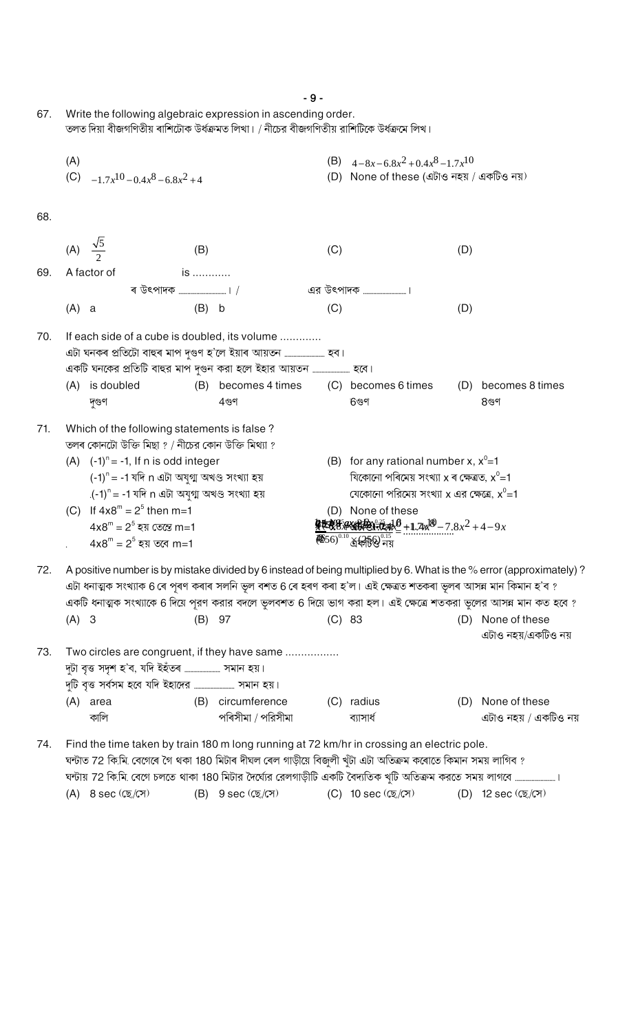|     |                                                               |                                                                                                                                                                                                                                                                                                                                                                          | $-9-$                                            |                                                                                                                                          |                                        |
|-----|---------------------------------------------------------------|--------------------------------------------------------------------------------------------------------------------------------------------------------------------------------------------------------------------------------------------------------------------------------------------------------------------------------------------------------------------------|--------------------------------------------------|------------------------------------------------------------------------------------------------------------------------------------------|----------------------------------------|
| 67. |                                                               | Write the following algebraic expression in ascending order.<br>তলত দিয়া বীজগণিতীয় ৰাশিটোক উৰ্ধক্ৰমত লিখা। / নীচের বীজগণিতীয় রাশিটিকে উৰ্ধক্ৰমে লিখ।                                                                                                                                                                                                                  |                                                  |                                                                                                                                          |                                        |
|     | (A)<br>(C) $-1.7x^{10} - 0.4x^8 - 6.8x^2 + 4$                 |                                                                                                                                                                                                                                                                                                                                                                          |                                                  | (B) $4-8x-6.8x^2+0.4x^8-1.7x^{10}$<br>(D) None of these (এটাও নহয় / একটিও নয়)                                                          |                                        |
| 68. |                                                               |                                                                                                                                                                                                                                                                                                                                                                          |                                                  |                                                                                                                                          |                                        |
|     | (A) $\frac{\sqrt{5}}{2}$                                      | (B)                                                                                                                                                                                                                                                                                                                                                                      | (C)                                              | (D)                                                                                                                                      |                                        |
| 69. | A factor of                                                   | is                                                                                                                                                                                                                                                                                                                                                                       |                                                  |                                                                                                                                          |                                        |
|     |                                                               |                                                                                                                                                                                                                                                                                                                                                                          |                                                  |                                                                                                                                          |                                        |
|     | $(A)$ a                                                       | $(B)$ b                                                                                                                                                                                                                                                                                                                                                                  | (C)                                              | (D)                                                                                                                                      |                                        |
| 70. |                                                               | If each side of a cube is doubled, its volume                                                                                                                                                                                                                                                                                                                            |                                                  |                                                                                                                                          |                                        |
|     | (A) is doubled<br>দৃগুণ                                       | $4$ গুণ                                                                                                                                                                                                                                                                                                                                                                  | (B) becomes 4 times (C) becomes 6 times<br>୫୯ଟ   |                                                                                                                                          | (D) becomes 8 times<br>୫ଞ୍ଜ            |
| 71. |                                                               | Which of the following statements is false?<br>তলৰ কোনটো উক্তি মিছা ? / নীচের কোন উক্তি মিথ্যা ?                                                                                                                                                                                                                                                                         |                                                  |                                                                                                                                          |                                        |
|     | (A) $(-1)^n = -1$ , If n is odd integer                       | $(-1)^n = -1$ যদি n এটা অযুগ্ম অখণ্ড সংখ্যা হয়                                                                                                                                                                                                                                                                                                                          |                                                  | (B) for any rational number x, $x^0$ =1<br>যিকোনো পৰিমেয় সংখ্যা x ৰ ক্ষেত্ৰত, $x^0$ =1<br>যেকোনো পরিমেয় সংখ্যা x এর ক্ষেত্রে, $x^0$ =1 |                                        |
|     | (C) If $4x8^m = 2^5$ then m=1<br>$4x8^m = 2^5$ হয় তেন্তে m=1 | .(-1) <sup>n</sup> = -1 যদি n এটা অযুগ্ম অখণ্ড সংখ্যা হয়                                                                                                                                                                                                                                                                                                                | None of these<br>(D)                             | $4.44\%$                                                                                                                                 |                                        |
|     | $4\times8^{\rm m}$ = 2 $^5$ হয় তবে m=1                       |                                                                                                                                                                                                                                                                                                                                                                          | 456) <sup>0.10</sup> শ্র <del>রিষ্ট</del> ি� নয় |                                                                                                                                          |                                        |
| 72. | $(A)$ 3                                                       | A positive number is by mistake divided by 6 instead of being multiplied by 6. What is the % error (approximately)?<br>এটা ধনাত্মক সংখ্যাক 6 ৰে পূৰণ কৰাৰ সলনি ভূল বশত 6 ৰে হৰণ কৰা হ'ল। এই ক্ষেত্ৰত শতকৰা ভূলৰ আসন্ন মান কিমান হ'ব ?<br>একটি ধনাত্মক সংখ্যাকে 6 দিয়ে পূরণ করার বদলে ভুলবশত 6 দিয়ে ভাগ করা হল। এই ক্ষেত্রে শতকরা ভুলের আসন্ন মান কত হবে ?<br>(B)<br>97 | (C) 83                                           |                                                                                                                                          | (D) None of these                      |
|     |                                                               |                                                                                                                                                                                                                                                                                                                                                                          |                                                  |                                                                                                                                          | এটাও নহয়/একটিও নয়                    |
| 73. |                                                               | Two circles are congruent, if they have same                                                                                                                                                                                                                                                                                                                             |                                                  |                                                                                                                                          |                                        |
|     |                                                               |                                                                                                                                                                                                                                                                                                                                                                          |                                                  |                                                                                                                                          |                                        |
|     | (A) area<br>কালি                                              | (B) circumference<br>পৰিসীমা / পরিসীমা                                                                                                                                                                                                                                                                                                                                   | (C)<br>radius<br>ব্যাসার্ধ                       | (D)                                                                                                                                      | None of these<br>এটাও নহয় / একটিও নয় |
| 74. |                                                               | Find the time taken by train 180 m long running at 72 km/hr in crossing an electric pole.<br>ঘন্টাত 72 কি.মি. বেগেৰে গৈ থকা 180 মিটাৰ দীঘল ৰেল গাড়ীয়ে বিজুলী খুঁটা এটা অতিক্ৰম কৰোতে কিমান সময় লাগিব ?<br>ঘন্টায় 72 কি.মি. বেগে চলতে থাকা 180 মিটার দৈর্ঘ্যের রেলগাড়ীটি একটি বৈদ্যতিক খুটি অতিক্রম করতে সময় লাগবে ………………………।                                       |                                                  |                                                                                                                                          |                                        |
|     | (A) $8 \sec (\sqrt{2} \pi)$                                   | (B) 9 sec (ছে./সে)                                                                                                                                                                                                                                                                                                                                                       | (C) 10 sec (ছে./সে)                              |                                                                                                                                          | (D) 12 sec (ছে./সে)                    |
|     |                                                               |                                                                                                                                                                                                                                                                                                                                                                          |                                                  |                                                                                                                                          |                                        |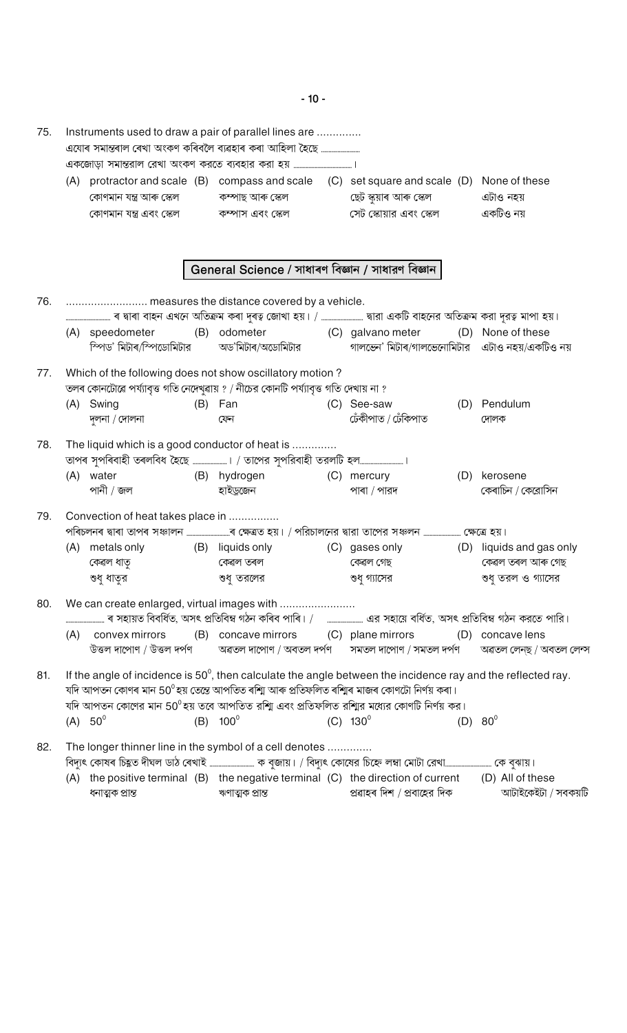$-10-$ 

| 75. |                                                                                                                                                  | Instruments used to draw a pair of parallel lines are<br>এযোৰ সমান্তৰাল ৰেখা অংকণ কৰিবলৈ ব্যৱহাৰ কৰা আহিলা হৈছে              |     |                                                     |  |                                                                                                                                                                                                                                                                                                            |     |                               |  |  |  |
|-----|--------------------------------------------------------------------------------------------------------------------------------------------------|------------------------------------------------------------------------------------------------------------------------------|-----|-----------------------------------------------------|--|------------------------------------------------------------------------------------------------------------------------------------------------------------------------------------------------------------------------------------------------------------------------------------------------------------|-----|-------------------------------|--|--|--|
|     |                                                                                                                                                  |                                                                                                                              |     |                                                     |  |                                                                                                                                                                                                                                                                                                            |     |                               |  |  |  |
|     |                                                                                                                                                  | কোণমান যন্ত্ৰ আৰু স্কেল<br>কোণমান যন্ত্ৰ এবং স্কেল                                                                           |     | কম্পাছ আৰু স্কেল<br>কম্পাস এবং স্কেল                |  | (A) protractor and scale (B) compass and scale (C) set square and scale (D) None of these<br>ছেট স্কুয়াৰ আৰু স্কেল<br>সেট স্কোয়ার এবং স্কেল                                                                                                                                                              |     | এটাও নহয়<br>একটিও নয়        |  |  |  |
|     |                                                                                                                                                  |                                                                                                                              |     | General Science / সাধাৰণ বিজ্ঞান / সাধারণ বিজ্ঞান   |  |                                                                                                                                                                                                                                                                                                            |     |                               |  |  |  |
| 76. |                                                                                                                                                  |                                                                                                                              |     |                                                     |  |                                                                                                                                                                                                                                                                                                            |     |                               |  |  |  |
|     |                                                                                                                                                  |                                                                                                                              |     |                                                     |  |                                                                                                                                                                                                                                                                                                            |     |                               |  |  |  |
|     |                                                                                                                                                  | (A) speedometer<br>স্পিড' মিটাৰ/স্পিডোমিটার                                                                                  |     | (B) odometer (C) galvano meter<br>অড'মিটাৰ/অডোমিটার |  | গালভেন' মিটাৰ/গালভেনোমিটার এটাও নহয়/একটিও নয়                                                                                                                                                                                                                                                             |     | (D) None of these             |  |  |  |
| 77. | Which of the following does not show oscillatory motion?<br>তলৰ কোনটোৱে পৰ্য্যাবৃত্ত গতি নেদেখুৱায় ? / নীচের কোনটি পৰ্য্যাবৃত্ত গতি দেখায় না ? |                                                                                                                              |     |                                                     |  |                                                                                                                                                                                                                                                                                                            |     |                               |  |  |  |
|     |                                                                                                                                                  | (A) Swing                                                                                                                    | (B) | Fan                                                 |  | (C) See-saw                                                                                                                                                                                                                                                                                                |     | (D) Pendulum                  |  |  |  |
|     |                                                                                                                                                  | দুলনা / দোলনা                                                                                                                |     | ফেন                                                 |  | ঢেঁকীপাত / ঢেঁকিপাত                                                                                                                                                                                                                                                                                        |     | দোলক                          |  |  |  |
| 78. |                                                                                                                                                  | The liquid which is a good conductor of heat is<br>তাপৰ সুপৰিবাহী তৰলবিধ হৈছে …………………। / তাপের সুপরিবাহী তরলটি হল……………………….। |     |                                                     |  |                                                                                                                                                                                                                                                                                                            |     |                               |  |  |  |
|     |                                                                                                                                                  | (A) water<br>পানী / জল                                                                                                       |     | (B) hydrogen (C) mercury<br>হাইড্ৰজেন               |  | পাৰা / পারদ                                                                                                                                                                                                                                                                                                | (D) | kerosene<br>কেৰাচিন / কেরোসিন |  |  |  |
| 79. |                                                                                                                                                  | Convection of heat takes place in                                                                                            |     |                                                     |  |                                                                                                                                                                                                                                                                                                            |     |                               |  |  |  |
|     | (A)                                                                                                                                              | metals only                                                                                                                  |     | (B) liquids only                                    |  | (C) gases only (D) liquids and gas only                                                                                                                                                                                                                                                                    |     |                               |  |  |  |
|     |                                                                                                                                                  | কেৱল ধাতৃ                                                                                                                    |     | কেৱল তৰল                                            |  | কেৱল গেছ                                                                                                                                                                                                                                                                                                   |     | কেৱল তৰল আৰু গেছ              |  |  |  |
|     |                                                                                                                                                  | শুধু ধাতুর                                                                                                                   |     | শুধ তরলের                                           |  | শুধ গ্যাসের                                                                                                                                                                                                                                                                                                |     | শুধু তরল ও গ্যাসের            |  |  |  |
| 80. |                                                                                                                                                  |                                                                                                                              |     |                                                     |  |                                                                                                                                                                                                                                                                                                            |     |                               |  |  |  |
|     | (A)                                                                                                                                              | convex mirrors                                                                                                               |     |                                                     |  | (B) concave mirrors (C) plane mirrors (D) concave lens                                                                                                                                                                                                                                                     |     |                               |  |  |  |
|     |                                                                                                                                                  |                                                                                                                              |     |                                                     |  | উত্তল দাপোণ / উত্তল দৰ্পণ        অৱতল দাপোণ / অবতল দৰ্পণ       সমতল দাপোণ / সমতল দৰ্পণ                                                                                                                                                                                                                     |     | অৱতল লেন্ছ / অবতল লেন্স       |  |  |  |
| 81. |                                                                                                                                                  |                                                                                                                              |     |                                                     |  | If the angle of incidence is $50^\circ$ , then calculate the angle between the incidence ray and the reflected ray.<br>যদি আপতন কোণৰ মান 50ºহয় তেন্তে আপতিত ৰশ্মি আৰু প্ৰতিফলিত ৰশ্মিৰ মাজৰ কোণটো নিৰ্ণয় কৰা।<br>যদি আপতন কোণের মান 50ºহয় তবে আপতিত রশািু এবং প্রতিফলিত রশািুর মধ্যের কোণটি নির্ণয় কর। |     |                               |  |  |  |
|     |                                                                                                                                                  | $(A) 50^{\circ}$                                                                                                             |     | (B) $100^{\circ}$                                   |  | $(C) 130^{\circ}$                                                                                                                                                                                                                                                                                          |     | $(D) 80^{\circ}$              |  |  |  |
| 82. |                                                                                                                                                  | The longer thinner line in the symbol of a cell denotes                                                                      |     |                                                     |  | বিদ্যুৎ কোষৰ চিহ্নত দীঘল ডাঠ ৰেখাই ……………………… ক বুজায়। / বিদ্যুৎ কোষের চিহ্নে লম্বা মোটা রেখা……………………… কে বুঝায়।                                                                                                                                                                                          |     |                               |  |  |  |
|     |                                                                                                                                                  | ধনাত্মক প্ৰান্ত                                                                                                              |     | ঋণাত্মক প্ৰান্ত                                     |  | (A) the positive terminal (B) the negative terminal (C) the direction of current (D) All of these<br>প্ৰৱাহৰ দিশ / প্ৰবাহের দিক                                                                                                                                                                            |     | আটাইকেইটা / সবকয়টি           |  |  |  |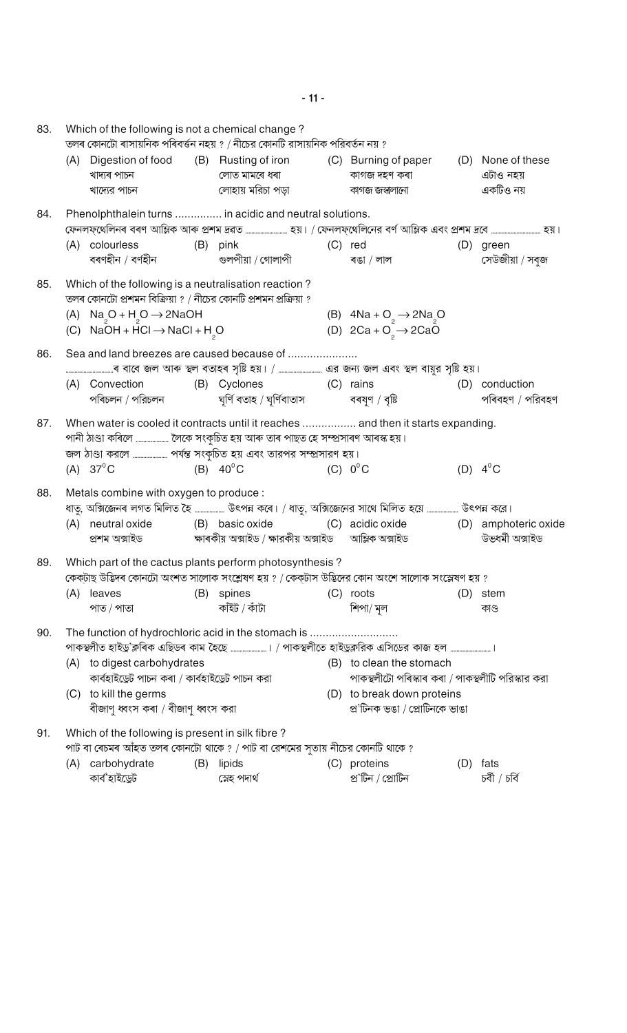| 83. |     | Which of the following is not a chemical change?                                                                       | তলৰ কোনটো ৰাসায়নিক পৰিবৰ্ত্তন নহয় ? / নীচের কোনটি রাসায়নিক পরিবর্তন নয় ?                                                                                                                                                    |                                                                          |     |                                             |
|-----|-----|------------------------------------------------------------------------------------------------------------------------|---------------------------------------------------------------------------------------------------------------------------------------------------------------------------------------------------------------------------------|--------------------------------------------------------------------------|-----|---------------------------------------------|
|     |     | খাদ্যৰ পাচন<br>খাদ্যের পাচন                                                                                            | (A) Digestion of food (B) Rusting of iron (C) Burning of paper<br>লোত মামৰে ধৰা<br>লোহায় মরিচা পড়া                                                                                                                            | কাগজ দহণ কৰা<br>কাগজ জস্বলানো                                            |     | (D) None of these<br>এটাও নহয়<br>একটিও নয় |
| 84. |     |                                                                                                                        | Phenolphthalein turns  in acidic and neutral solutions.<br>ফেনলফ্থেলিনৰ বৰণ আম্লিক আৰু প্ৰশম দ্ৰৱত ………………………… হয়। / ফেনলফ্থেলিনের বৰ্ণ আম্লিক এবং প্ৰশম দ্ৰবে ………………………… হয়।                                                  |                                                                          |     |                                             |
|     |     | (A) colourless<br>বৰণহীন / বৰ্ণহীন                                                                                     | (B) pink<br>গুলপীয়া / গোলাপী                                                                                                                                                                                                   | $(C)$ red<br>ৰঙা / লাল                                                   |     | (D) green<br>সেউজীয়া / সবুজ                |
| 85. |     | Which of the following is a neutralisation reaction?<br>তলৰ কোনটো প্ৰশমন বিক্ৰিয়া ? / নীচের কোনটি প্ৰশমন প্ৰক্ৰিয়া ? |                                                                                                                                                                                                                                 |                                                                          |     |                                             |
|     |     | (A) $\text{Na}_2\text{O} + \text{H}_2\text{O} \rightarrow 2\text{NaOH}$<br>(C) $NaOH + HCl \rightarrow NaCl + H2O$     |                                                                                                                                                                                                                                 | (B) $4Na + O_2 \rightarrow 2Na_2O$<br>(D) $2Ca + O_2^- \rightarrow 2CaO$ |     |                                             |
| 86. |     |                                                                                                                        | Sea and land breezes are caused because of                                                                                                                                                                                      |                                                                          |     |                                             |
|     |     |                                                                                                                        |                                                                                                                                                                                                                                 |                                                                          |     |                                             |
|     |     | (A) Convection<br>পৰিচলন / পরিচলন                                                                                      | (B) Cyclones (C) rains                                                                                                                                                                                                          |                                                                          |     | (D) conduction<br>পৰিবহণ / পরিবহণ           |
| 87. |     |                                                                                                                        | When water is cooled it contracts until it reaches  and then it starts expanding.<br>পানী ঠাণ্ডা কৰিলে  লৈকে সংকুচিত হয় আৰু তাৰ পাছত হে সম্প্ৰসাৰণ আৰস্ক হয়।<br>জল ঠাণ্ডা করলে  পর্যন্ত সংকুচিত হয় এবং তারপর সম্প্রসারণ হয়। |                                                                          |     |                                             |
|     |     | $(A) 37^{\circ}$ C                                                                                                     | (B) $40^{\circ}$ C                                                                                                                                                                                                              | $(C)$ $0^{\circ}$ C                                                      |     | (D) $4^{\circ}$ C                           |
| 88. |     | Metals combine with oxygen to produce :                                                                                | ধাতু, অক্সিজেনৰ লগত মিলিত হৈ  উৎপন্ন কৰে। / ধাতু, অক্সিজেনের সাথে মিলিত হয়ে  উৎপন্ন করে।                                                                                                                                       |                                                                          |     |                                             |
|     |     |                                                                                                                        | (A) neutral oxide (B) basic oxide                                                                                                                                                                                               | (C) acidic oxide (D) amphoteric oxide                                    |     | উভধৰ্মী অক্সাইড                             |
| 89. |     |                                                                                                                        | Which part of the cactus plants perform photosynthesis?<br>কেক্টাছ উদ্ভিদৰ কোনটো অংশত সালোক সংশ্লেষণ হয় ? / কেক্টাস উদ্ভিদের কোন অংশে সালোক সংস্লেষণ হয় ?                                                                     |                                                                          |     |                                             |
|     | (A) | leaves<br>পাত / পাতা                                                                                                   | (B) spines<br>কাঁইট / কাঁটা                                                                                                                                                                                                     | $(C)$ roots<br>শিপা/ মূল                                                 |     | (D) stem<br>কাণ্ড                           |
| 90. |     |                                                                                                                        | The function of hydrochloric acid in the stomach is                                                                                                                                                                             |                                                                          |     |                                             |
|     |     |                                                                                                                        | পাকস্থলীত হাইড্ৰ'ক্লৰিক এছিডৰ কাম হৈছে ………………….। / পাকস্থলীতে হাইড্ৰক্লরিক এসিডের কাজ হল …………………….।                                                                                                                             |                                                                          |     |                                             |
|     |     | (A) to digest carbohydrates                                                                                            |                                                                                                                                                                                                                                 | (B) to clean the stomach                                                 |     |                                             |
|     |     | কাৰ্বহাইডেট পাচন কৰা / কাৰ্বহাইডেট পাচন করা                                                                            |                                                                                                                                                                                                                                 | পাকস্থলীটো পৰিস্কাৰ কৰা / পাকস্থলীটি পরিস্কার করা                        |     |                                             |
|     | (C) | to kill the germs<br>বীজাণু ধ্বংস কৰা / বীজাণু ধ্বংস করা                                                               |                                                                                                                                                                                                                                 | (D) to break down proteins<br>প্র'টিনক ভঙা / প্রোটিনকে ভাঙা              |     |                                             |
| 91. |     | Which of the following is present in silk fibre?                                                                       | পাট বা ৰেচমৰ আঁহত তলৰ কোনটো থাকে ? / পাট বা রেশমের সুতায় নীচের কোনটি থাকে ?                                                                                                                                                    |                                                                          |     |                                             |
|     |     | (A) carbohydrate                                                                                                       | (B) lipids                                                                                                                                                                                                                      | (C) proteins                                                             | (D) | fats                                        |
|     |     | কাৰ্ব'হাইড্ৰেট                                                                                                         | স্নেহ পদাৰ্থ                                                                                                                                                                                                                    | প্ৰ'টিন / প্ৰোটিন                                                        |     | চৰ্বী / চৰ্বি                               |